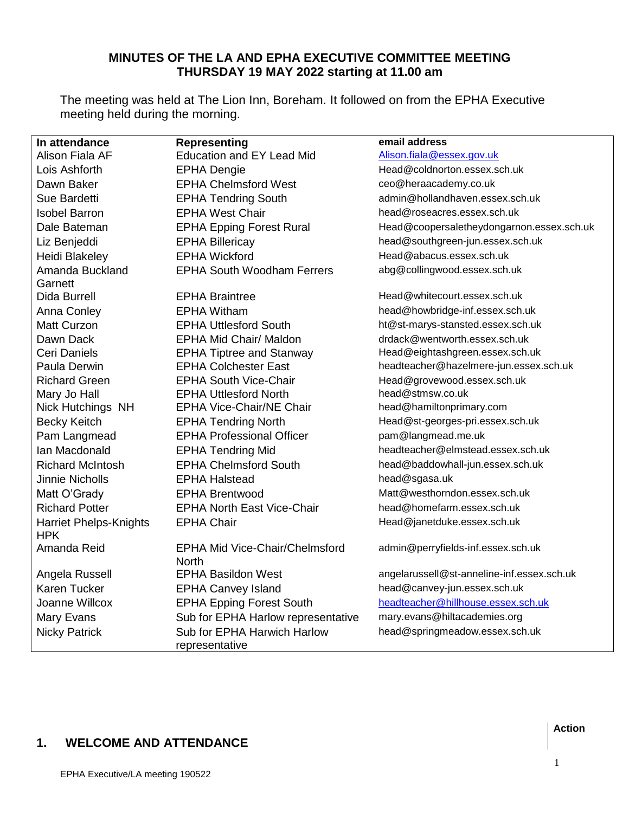# **MINUTES OF THE LA AND EPHA EXECUTIVE COMMITTEE MEETING THURSDAY 19 MAY 2022 starting at 11.00 am**

The meeting was held at The Lion Inn, Boreham. It followed on from the EPHA Executive meeting held during the morning.

| In attendance                               | <b>Representing</b>                           | email address                              |
|---------------------------------------------|-----------------------------------------------|--------------------------------------------|
| Alison Fiala AF                             | <b>Education and EY Lead Mid</b>              | Alison.fiala@essex.gov.uk                  |
| Lois Ashforth                               | <b>EPHA Dengie</b>                            | Head@coldnorton.essex.sch.uk               |
| Dawn Baker                                  | <b>EPHA Chelmsford West</b>                   | ceo@heraacademy.co.uk                      |
| Sue Bardetti                                | <b>EPHA Tendring South</b>                    | admin@hollandhaven.essex.sch.uk            |
| <b>Isobel Barron</b>                        | <b>EPHA West Chair</b>                        | head@roseacres.essex.sch.uk                |
| Dale Bateman                                | <b>EPHA Epping Forest Rural</b>               | Head@coopersaletheydongarnon.essex.sch.uk  |
| Liz Benjeddi                                | <b>EPHA Billericay</b>                        | head@southgreen-jun.essex.sch.uk           |
| Heidi Blakeley                              | <b>EPHA Wickford</b>                          | Head@abacus.essex.sch.uk                   |
| Amanda Buckland                             | <b>EPHA South Woodham Ferrers</b>             | abg@collingwood.essex.sch.uk               |
| Garnett                                     |                                               |                                            |
| Dida Burrell                                | <b>EPHA Braintree</b>                         | Head@whitecourt.essex.sch.uk               |
| Anna Conley                                 | <b>EPHA Witham</b>                            | head@howbridge-inf.essex.sch.uk            |
| <b>Matt Curzon</b>                          | <b>EPHA Uttlesford South</b>                  | ht@st-marys-stansted.essex.sch.uk          |
| Dawn Dack                                   | <b>EPHA Mid Chair/ Maldon</b>                 | drdack@wentworth.essex.sch.uk              |
| Ceri Daniels                                | <b>EPHA Tiptree and Stanway</b>               | Head@eightashgreen.essex.sch.uk            |
| Paula Derwin                                | <b>EPHA Colchester East</b>                   | headteacher@hazelmere-jun.essex.sch.uk     |
| <b>Richard Green</b>                        | <b>EPHA South Vice-Chair</b>                  | Head@grovewood.essex.sch.uk                |
| Mary Jo Hall                                | <b>EPHA Uttlesford North</b>                  | head@stmsw.co.uk                           |
| Nick Hutchings NH                           | <b>EPHA Vice-Chair/NE Chair</b>               | head@hamiltonprimary.com                   |
| <b>Becky Keitch</b>                         | <b>EPHA Tendring North</b>                    | Head@st-georges-pri.essex.sch.uk           |
| Pam Langmead                                | <b>EPHA Professional Officer</b>              | pam@langmead.me.uk                         |
| Ian Macdonald                               | <b>EPHA Tendring Mid</b>                      | headteacher@elmstead.essex.sch.uk          |
| <b>Richard McIntosh</b>                     | <b>EPHA Chelmsford South</b>                  | head@baddowhall-jun.essex.sch.uk           |
| <b>Jinnie Nicholls</b>                      | <b>EPHA Halstead</b>                          | head@sgasa.uk                              |
| Matt O'Grady                                | <b>EPHA Brentwood</b>                         | Matt@westhorndon.essex.sch.uk              |
| <b>Richard Potter</b>                       | <b>EPHA North East Vice-Chair</b>             | head@homefarm.essex.sch.uk                 |
| <b>Harriet Phelps-Knights</b><br><b>HPK</b> | <b>EPHA Chair</b>                             | Head@janetduke.essex.sch.uk                |
| Amanda Reid                                 | <b>EPHA Mid Vice-Chair/Chelmsford</b>         | admin@perryfields-inf.essex.sch.uk         |
|                                             | <b>North</b>                                  |                                            |
| Angela Russell                              | <b>EPHA Basildon West</b>                     | angelarussell@st-anneline-inf.essex.sch.uk |
| Karen Tucker                                | <b>EPHA Canvey Island</b>                     | head@canvey-jun.essex.sch.uk               |
| Joanne Willcox                              | <b>EPHA Epping Forest South</b>               | headteacher@hillhouse.essex.sch.uk         |
| Mary Evans                                  | Sub for EPHA Harlow representative            | mary.evans@hiltacademies.org               |
| <b>Nicky Patrick</b>                        | Sub for EPHA Harwich Harlow<br>representative | head@springmeadow.essex.sch.uk             |

# **1. WELCOME AND ATTENDANCE**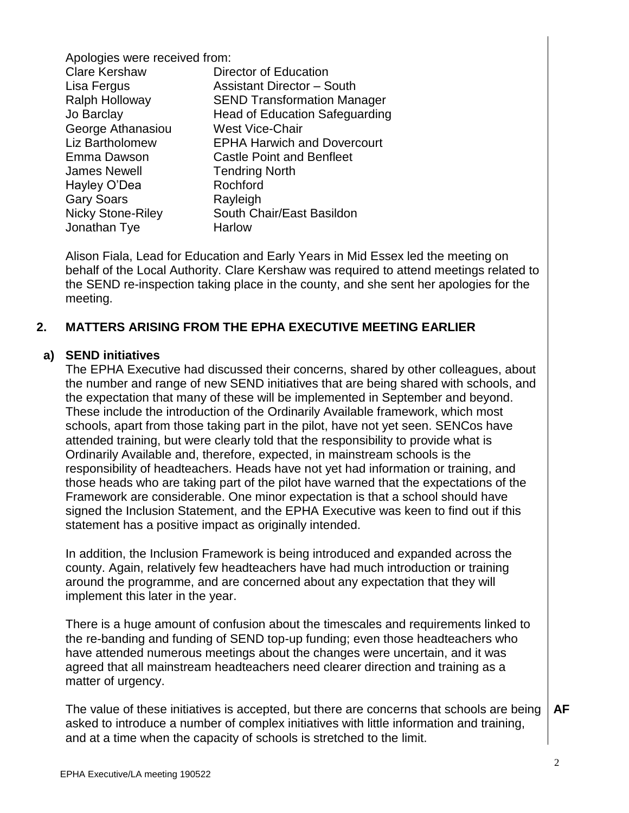Apologies were received from:

| Director of Education                 |
|---------------------------------------|
| <b>Assistant Director - South</b>     |
| <b>SEND Transformation Manager</b>    |
| <b>Head of Education Safeguarding</b> |
| <b>West Vice-Chair</b>                |
| <b>EPHA Harwich and Dovercourt</b>    |
| <b>Castle Point and Benfleet</b>      |
| <b>Tendring North</b>                 |
| Rochford                              |
| Rayleigh                              |
| South Chair/East Basildon             |
| Harlow                                |
|                                       |

Alison Fiala, Lead for Education and Early Years in Mid Essex led the meeting on behalf of the Local Authority. Clare Kershaw was required to attend meetings related to the SEND re-inspection taking place in the county, and she sent her apologies for the meeting.

#### **2. MATTERS ARISING FROM THE EPHA EXECUTIVE MEETING EARLIER**

#### **a) SEND initiatives**

The EPHA Executive had discussed their concerns, shared by other colleagues, about the number and range of new SEND initiatives that are being shared with schools, and the expectation that many of these will be implemented in September and beyond. These include the introduction of the Ordinarily Available framework, which most schools, apart from those taking part in the pilot, have not yet seen. SENCos have attended training, but were clearly told that the responsibility to provide what is Ordinarily Available and, therefore, expected, in mainstream schools is the responsibility of headteachers. Heads have not yet had information or training, and those heads who are taking part of the pilot have warned that the expectations of the Framework are considerable. One minor expectation is that a school should have signed the Inclusion Statement, and the EPHA Executive was keen to find out if this statement has a positive impact as originally intended.

In addition, the Inclusion Framework is being introduced and expanded across the county. Again, relatively few headteachers have had much introduction or training around the programme, and are concerned about any expectation that they will implement this later in the year.

There is a huge amount of confusion about the timescales and requirements linked to the re-banding and funding of SEND top-up funding; even those headteachers who have attended numerous meetings about the changes were uncertain, and it was agreed that all mainstream headteachers need clearer direction and training as a matter of urgency.

The value of these initiatives is accepted, but there are concerns that schools are being asked to introduce a number of complex initiatives with little information and training, and at a time when the capacity of schools is stretched to the limit. **AF**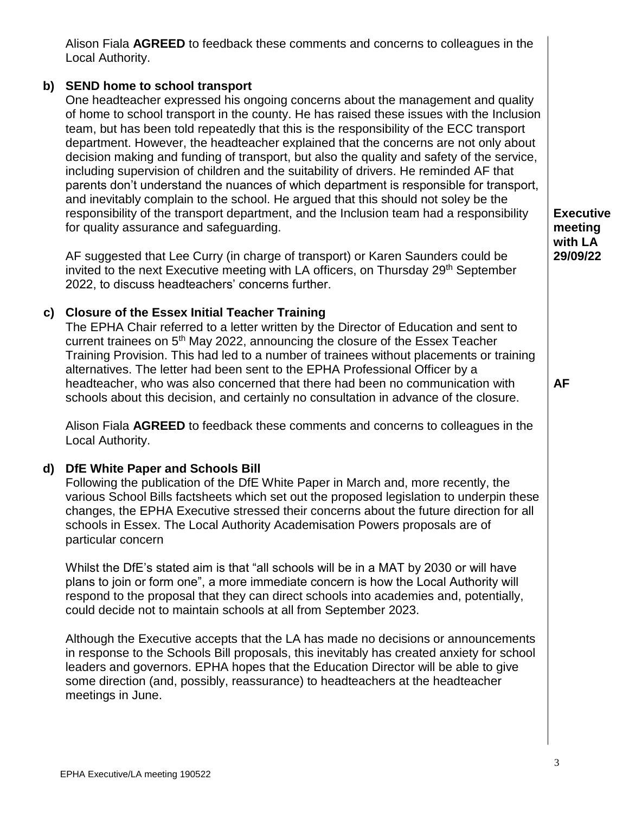Alison Fiala **AGREED** to feedback these comments and concerns to colleagues in the Local Authority.

## **b) SEND home to school transport**

One headteacher expressed his ongoing concerns about the management and quality of home to school transport in the county. He has raised these issues with the Inclusion team, but has been told repeatedly that this is the responsibility of the ECC transport department. However, the headteacher explained that the concerns are not only about decision making and funding of transport, but also the quality and safety of the service, including supervision of children and the suitability of drivers. He reminded AF that parents don't understand the nuances of which department is responsible for transport, and inevitably complain to the school. He argued that this should not soley be the responsibility of the transport department, and the Inclusion team had a responsibility for quality assurance and safeguarding.

AF suggested that Lee Curry (in charge of transport) or Karen Saunders could be invited to the next Executive meeting with LA officers, on Thursday 29<sup>th</sup> September 2022, to discuss headteachers' concerns further.

# **c) Closure of the Essex Initial Teacher Training**

The EPHA Chair referred to a letter written by the Director of Education and sent to current trainees on 5<sup>th</sup> May 2022, announcing the closure of the Essex Teacher Training Provision. This had led to a number of trainees without placements or training alternatives. The letter had been sent to the EPHA Professional Officer by a headteacher, who was also concerned that there had been no communication with schools about this decision, and certainly no consultation in advance of the closure.

Alison Fiala **AGREED** to feedback these comments and concerns to colleagues in the Local Authority.

# **d) DfE White Paper and Schools Bill**

Following the publication of the DfE White Paper in March and, more recently, the various School Bills factsheets which set out the proposed legislation to underpin these changes, the EPHA Executive stressed their concerns about the future direction for all schools in Essex. The Local Authority Academisation Powers proposals are of particular concern

Whilst the DfE's stated aim is that "all schools will be in a MAT by 2030 or will have plans to join or form one", a more immediate concern is how the Local Authority will respond to the proposal that they can direct schools into academies and, potentially, could decide not to maintain schools at all from September 2023.

Although the Executive accepts that the LA has made no decisions or announcements in response to the Schools Bill proposals, this inevitably has created anxiety for school leaders and governors. EPHA hopes that the Education Director will be able to give some direction (and, possibly, reassurance) to headteachers at the headteacher meetings in June.

**Executive meeting with LA 29/09/22**

**AF**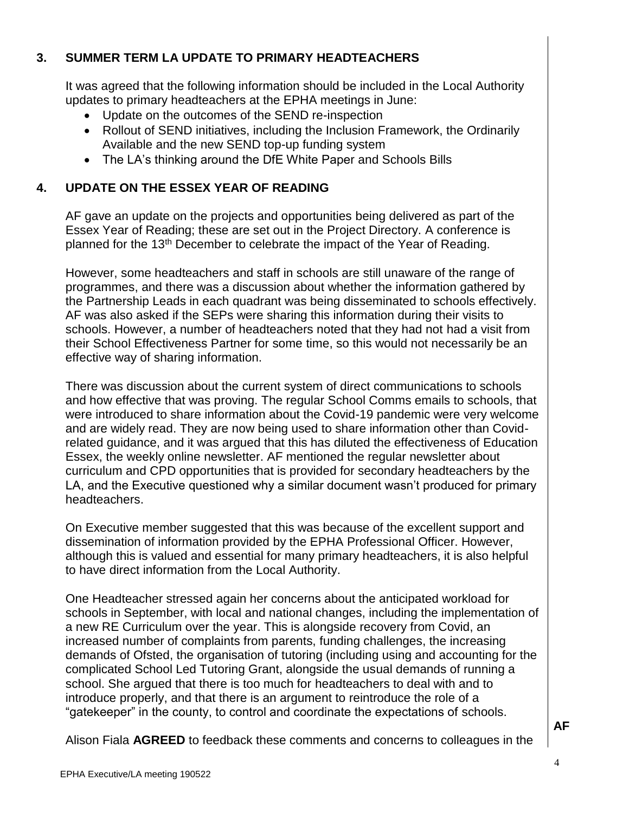# **3. SUMMER TERM LA UPDATE TO PRIMARY HEADTEACHERS**

It was agreed that the following information should be included in the Local Authority updates to primary headteachers at the EPHA meetings in June:

- Update on the outcomes of the SEND re-inspection
- Rollout of SEND initiatives, including the Inclusion Framework, the Ordinarily Available and the new SEND top-up funding system
- The LA's thinking around the DfE White Paper and Schools Bills

# **4. UPDATE ON THE ESSEX YEAR OF READING**

AF gave an update on the projects and opportunities being delivered as part of the Essex Year of Reading; these are set out in the Project Directory. A conference is planned for the 13<sup>th</sup> December to celebrate the impact of the Year of Reading.

However, some headteachers and staff in schools are still unaware of the range of programmes, and there was a discussion about whether the information gathered by the Partnership Leads in each quadrant was being disseminated to schools effectively. AF was also asked if the SEPs were sharing this information during their visits to schools. However, a number of headteachers noted that they had not had a visit from their School Effectiveness Partner for some time, so this would not necessarily be an effective way of sharing information.

There was discussion about the current system of direct communications to schools and how effective that was proving. The regular School Comms emails to schools, that were introduced to share information about the Covid-19 pandemic were very welcome and are widely read. They are now being used to share information other than Covidrelated guidance, and it was argued that this has diluted the effectiveness of Education Essex, the weekly online newsletter. AF mentioned the regular newsletter about curriculum and CPD opportunities that is provided for secondary headteachers by the LA, and the Executive questioned why a similar document wasn't produced for primary headteachers.

On Executive member suggested that this was because of the excellent support and dissemination of information provided by the EPHA Professional Officer. However, although this is valued and essential for many primary headteachers, it is also helpful to have direct information from the Local Authority.

One Headteacher stressed again her concerns about the anticipated workload for schools in September, with local and national changes, including the implementation of a new RE Curriculum over the year. This is alongside recovery from Covid, an increased number of complaints from parents, funding challenges, the increasing demands of Ofsted, the organisation of tutoring (including using and accounting for the complicated School Led Tutoring Grant, alongside the usual demands of running a school. She argued that there is too much for headteachers to deal with and to introduce properly, and that there is an argument to reintroduce the role of a "gatekeeper" in the county, to control and coordinate the expectations of schools.

Alison Fiala **AGREED** to feedback these comments and concerns to colleagues in the

4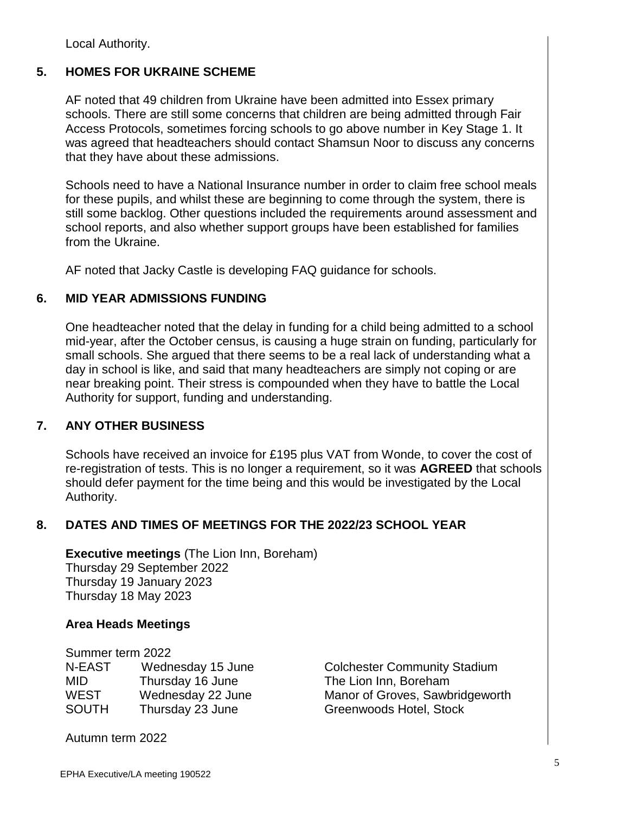Local Authority.

# **5. HOMES FOR UKRAINE SCHEME**

AF noted that 49 children from Ukraine have been admitted into Essex primary schools. There are still some concerns that children are being admitted through Fair Access Protocols, sometimes forcing schools to go above number in Key Stage 1. It was agreed that headteachers should contact Shamsun Noor to discuss any concerns that they have about these admissions.

Schools need to have a National Insurance number in order to claim free school meals for these pupils, and whilst these are beginning to come through the system, there is still some backlog. Other questions included the requirements around assessment and school reports, and also whether support groups have been established for families from the Ukraine.

AF noted that Jacky Castle is developing FAQ guidance for schools.

#### **6. MID YEAR ADMISSIONS FUNDING**

One headteacher noted that the delay in funding for a child being admitted to a school mid-year, after the October census, is causing a huge strain on funding, particularly for small schools. She argued that there seems to be a real lack of understanding what a day in school is like, and said that many headteachers are simply not coping or are near breaking point. Their stress is compounded when they have to battle the Local Authority for support, funding and understanding.

#### **7. ANY OTHER BUSINESS**

Schools have received an invoice for £195 plus VAT from Wonde, to cover the cost of re-registration of tests. This is no longer a requirement, so it was **AGREED** that schools should defer payment for the time being and this would be investigated by the Local Authority.

#### **8. DATES AND TIMES OF MEETINGS FOR THE 2022/23 SCHOOL YEAR**

**Executive meetings** (The Lion Inn, Boreham) Thursday 29 September 2022 Thursday 19 January 2023 Thursday 18 May 2023

#### **Area Heads Meetings**

Summer term 2022

| N-EAST       | Wednesday 15 June |
|--------------|-------------------|
| MID          | Thursday 16 June  |
| <b>WEST</b>  | Wednesday 22 June |
| <b>SOUTH</b> | Thursday 23 June  |

Colchester Community Stadium The Lion Inn, Boreham Manor of Groves, Sawbridgeworth Greenwoods Hotel, Stock

Autumn term 2022